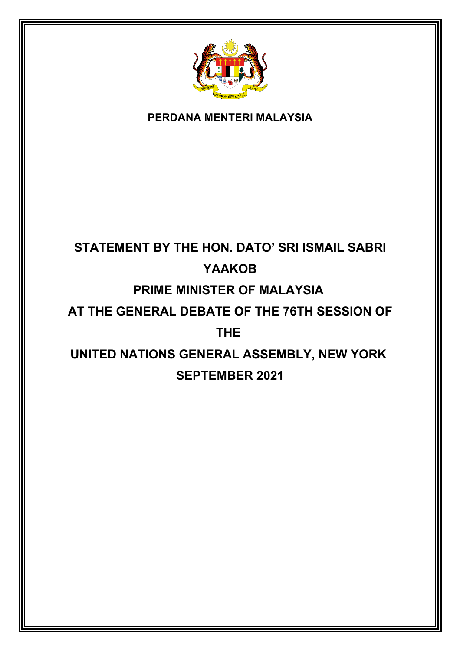

#### **PERDANA MENTERI MALAYSIA**

# **STATEMENT BY THE HON. DATO' SRI ISMAIL SABRI YAAKOB PRIME MINISTER OF MALAYSIA**

**AT THE GENERAL DEBATE OF THE 76TH SESSION OF** 

#### **THE**

**UNITED NATIONS GENERAL ASSEMBLY, NEW YORK SEPTEMBER 2021**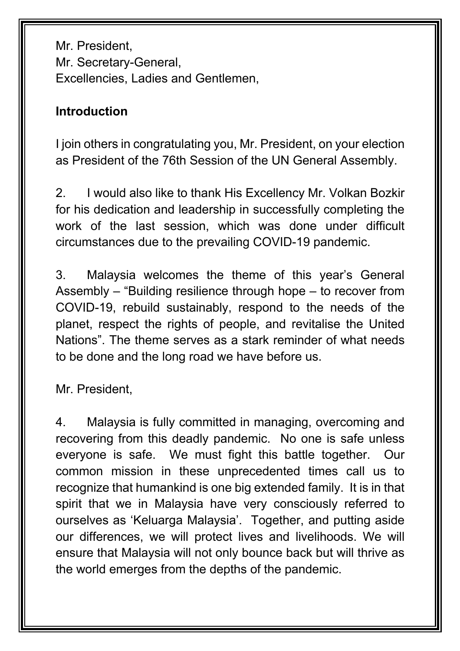Mr. President, Mr. Secretary-General, Excellencies, Ladies and Gentlemen,

#### **Introduction**

I join others in congratulating you, Mr. President, on your election as President of the 76th Session of the UN General Assembly.

2. I would also like to thank His Excellency Mr. Volkan Bozkir for his dedication and leadership in successfully completing the work of the last session, which was done under difficult circumstances due to the prevailing COVID-19 pandemic.

3. Malaysia welcomes the theme of this year's General Assembly – "Building resilience through hope – to recover from COVID-19, rebuild sustainably, respond to the needs of the planet, respect the rights of people, and revitalise the United Nations". The theme serves as a stark reminder of what needs to be done and the long road we have before us.

Mr. President,

4. Malaysia is fully committed in managing, overcoming and recovering from this deadly pandemic. No one is safe unless everyone is safe. We must fight this battle together. Our common mission in these unprecedented times call us to recognize that humankind is one big extended family. It is in that spirit that we in Malaysia have very consciously referred to ourselves as 'Keluarga Malaysia'. Together, and putting aside our differences, we will protect lives and livelihoods. We will ensure that Malaysia will not only bounce back but will thrive as the world emerges from the depths of the pandemic.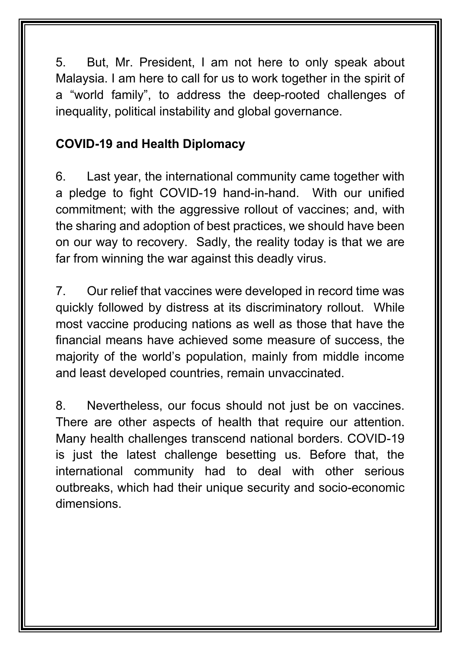5. But, Mr. President, I am not here to only speak about Malaysia. I am here to call for us to work together in the spirit of a "world family", to address the deep-rooted challenges of inequality, political instability and global governance.

### **COVID-19 and Health Diplomacy**

6. Last year, the international community came together with a pledge to fight COVID-19 hand-in-hand. With our unified commitment; with the aggressive rollout of vaccines; and, with the sharing and adoption of best practices, we should have been on our way to recovery. Sadly, the reality today is that we are far from winning the war against this deadly virus.

7. Our relief that vaccines were developed in record time was quickly followed by distress at its discriminatory rollout. While most vaccine producing nations as well as those that have the financial means have achieved some measure of success, the majority of the world's population, mainly from middle income and least developed countries, remain unvaccinated.

8. Nevertheless, our focus should not just be on vaccines. There are other aspects of health that require our attention. Many health challenges transcend national borders. COVID-19 is just the latest challenge besetting us. Before that, the international community had to deal with other serious outbreaks, which had their unique security and socio-economic dimensions.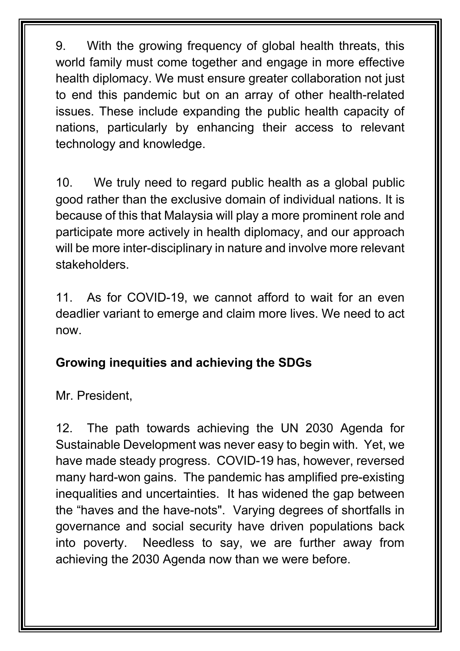9. With the growing frequency of global health threats, this world family must come together and engage in more effective health diplomacy. We must ensure greater collaboration not just to end this pandemic but on an array of other health-related issues. These include expanding the public health capacity of nations, particularly by enhancing their access to relevant technology and knowledge.

10. We truly need to regard public health as a global public good rather than the exclusive domain of individual nations. It is because of this that Malaysia will play a more prominent role and participate more actively in health diplomacy, and our approach will be more inter-disciplinary in nature and involve more relevant stakeholders.

11. As for COVID-19, we cannot afford to wait for an even deadlier variant to emerge and claim more lives. We need to act now.

# **Growing inequities and achieving the SDGs**

Mr. President,

12. The path towards achieving the UN 2030 Agenda for Sustainable Development was never easy to begin with. Yet, we have made steady progress. COVID-19 has, however, reversed many hard-won gains. The pandemic has amplified pre-existing inequalities and uncertainties. It has widened the gap between the "haves and the have-nots". Varying degrees of shortfalls in governance and social security have driven populations back into poverty. Needless to say, we are further away from achieving the 2030 Agenda now than we were before.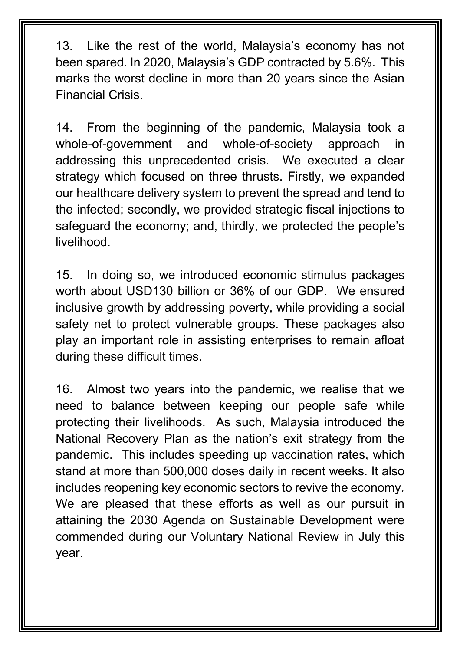13. Like the rest of the world, Malaysia's economy has not been spared. In 2020, Malaysia's GDP contracted by 5.6%. This marks the worst decline in more than 20 years since the Asian Financial Crisis.

14. From the beginning of the pandemic, Malaysia took a whole-of-government and whole-of-society approach in addressing this unprecedented crisis. We executed a clear strategy which focused on three thrusts. Firstly, we expanded our healthcare delivery system to prevent the spread and tend to the infected; secondly, we provided strategic fiscal injections to safeguard the economy; and, thirdly, we protected the people's livelihood.

15. In doing so, we introduced economic stimulus packages worth about USD130 billion or 36% of our GDP. We ensured inclusive growth by addressing poverty, while providing a social safety net to protect vulnerable groups. These packages also play an important role in assisting enterprises to remain afloat during these difficult times.

16. Almost two years into the pandemic, we realise that we need to balance between keeping our people safe while protecting their livelihoods. As such, Malaysia introduced the National Recovery Plan as the nation's exit strategy from the pandemic. This includes speeding up vaccination rates, which stand at more than 500,000 doses daily in recent weeks. It also includes reopening key economic sectors to revive the economy*.* We are pleased that these efforts as well as our pursuit in attaining the 2030 Agenda on Sustainable Development were commended during our Voluntary National Review in July this year.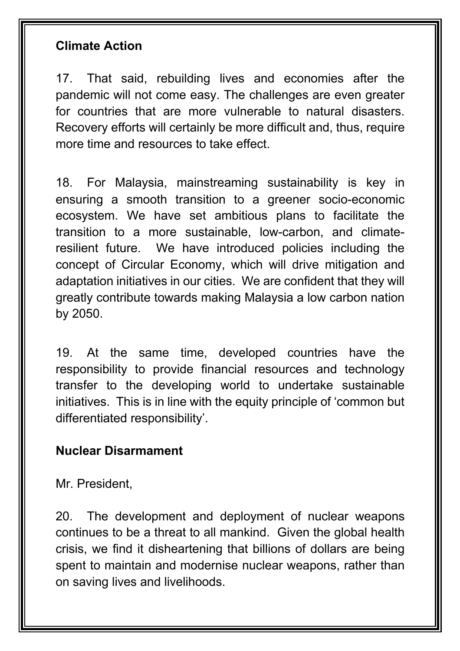#### **Climate Action**

17. That said, rebuilding lives and economies after the pandemic will not come easy. The challenges are even greater for countries that are more vulnerable to natural disasters. Recovery efforts will certainly be more difficult and, thus, require more time and resources to take effect.

18. For Malaysia, mainstreaming sustainability is key in ensuring a smooth transition to a greener socio-economic ecosystem. We have set ambitious plans to facilitate the transition to a more sustainable, low-carbon, and climateresilient future. We have introduced policies including the concept of Circular Economy, which will drive mitigation and adaptation initiatives in our cities. We are confident that they will greatly contribute towards making Malaysia a low carbon nation by 2050.

19. At the same time, developed countries have the responsibility to provide financial resources and technology transfer to the developing world to undertake sustainable initiatives. This is in line with the equity principle of 'common but differentiated responsibility'.

#### **Nuclear Disarmament**

Mr. President,

20. The development and deployment of nuclear weapons continues to be a threat to all mankind. Given the global health crisis, we find it disheartening that billions of dollars are being spent to maintain and modernise nuclear weapons, rather than on saving lives and livelihoods.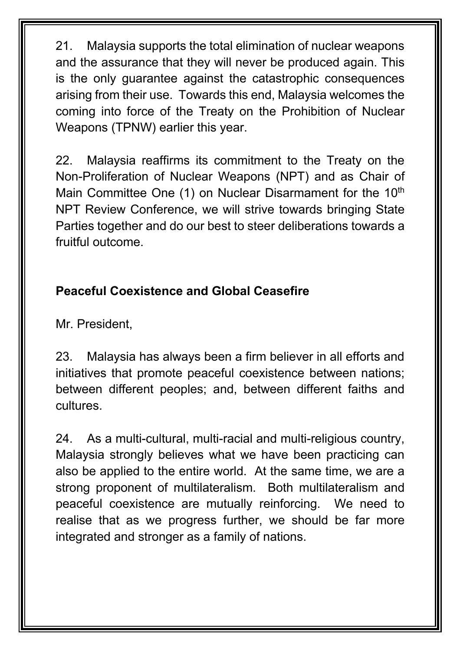21. Malaysia supports the total elimination of nuclear weapons and the assurance that they will never be produced again. This is the only guarantee against the catastrophic consequences arising from their use. Towards this end, Malaysia welcomes the coming into force of the Treaty on the Prohibition of Nuclear Weapons (TPNW) earlier this year.

22. Malaysia reaffirms its commitment to the Treaty on the Non-Proliferation of Nuclear Weapons (NPT) and as Chair of Main Committee One (1) on Nuclear Disarmament for the 10<sup>th</sup> NPT Review Conference, we will strive towards bringing State Parties together and do our best to steer deliberations towards a fruitful outcome.

# **Peaceful Coexistence and Global Ceasefire**

Mr. President,

23. Malaysia has always been a firm believer in all efforts and initiatives that promote peaceful coexistence between nations; between different peoples; and, between different faiths and cultures.

24. As a multi-cultural, multi-racial and multi-religious country, Malaysia strongly believes what we have been practicing can also be applied to the entire world. At the same time, we are a strong proponent of multilateralism. Both multilateralism and peaceful coexistence are mutually reinforcing. We need to realise that as we progress further, we should be far more integrated and stronger as a family of nations.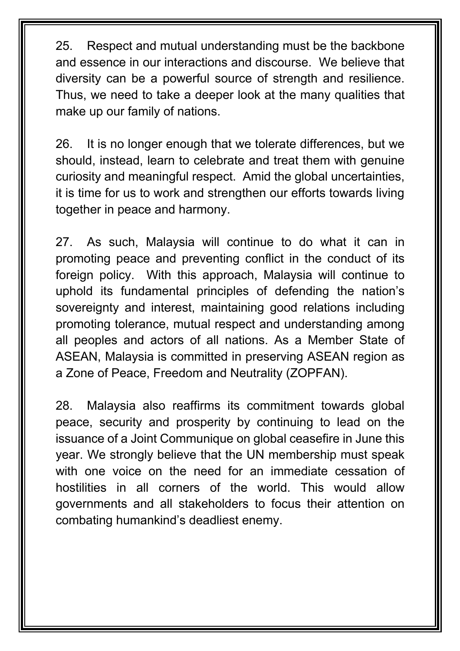25. Respect and mutual understanding must be the backbone and essence in our interactions and discourse. We believe that diversity can be a powerful source of strength and resilience. Thus, we need to take a deeper look at the many qualities that make up our family of nations.

26. It is no longer enough that we tolerate differences, but we should, instead, learn to celebrate and treat them with genuine curiosity and meaningful respect. Amid the global uncertainties, it is time for us to work and strengthen our efforts towards living together in peace and harmony.

27. As such, Malaysia will continue to do what it can in promoting peace and preventing conflict in the conduct of its foreign policy. With this approach, Malaysia will continue to uphold its fundamental principles of defending the nation's sovereignty and interest, maintaining good relations including promoting tolerance, mutual respect and understanding among all peoples and actors of all nations. As a Member State of ASEAN, Malaysia is committed in preserving ASEAN region as a Zone of Peace, Freedom and Neutrality (ZOPFAN).

28. Malaysia also reaffirms its commitment towards global peace, security and prosperity by continuing to lead on the issuance of a Joint Communique on global ceasefire in June this year. We strongly believe that the UN membership must speak with one voice on the need for an immediate cessation of hostilities in all corners of the world. This would allow governments and all stakeholders to focus their attention on combating humankind's deadliest enemy.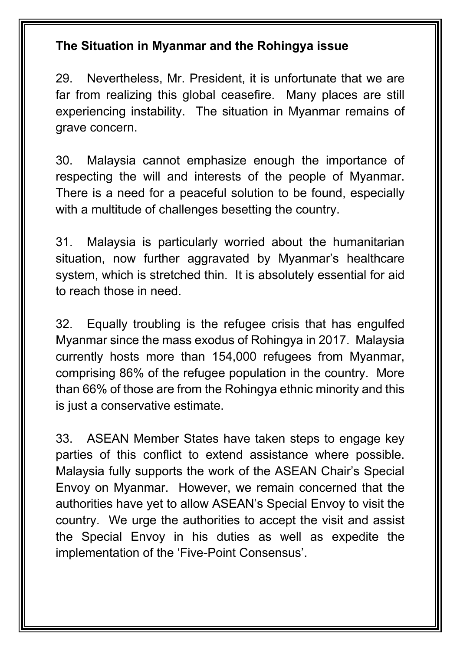#### **The Situation in Myanmar and the Rohingya issue**

29. Nevertheless, Mr. President, it is unfortunate that we are far from realizing this global ceasefire. Many places are still experiencing instability. The situation in Myanmar remains of grave concern.

30. Malaysia cannot emphasize enough the importance of respecting the will and interests of the people of Myanmar. There is a need for a peaceful solution to be found, especially with a multitude of challenges besetting the country.

31. Malaysia is particularly worried about the humanitarian situation, now further aggravated by Myanmar's healthcare system, which is stretched thin. It is absolutely essential for aid to reach those in need.

32. Equally troubling is the refugee crisis that has engulfed Myanmar since the mass exodus of Rohingya in 2017. Malaysia currently hosts more than 154,000 refugees from Myanmar, comprising 86% of the refugee population in the country. More than 66% of those are from the Rohingya ethnic minority and this is just a conservative estimate.

33. ASEAN Member States have taken steps to engage key parties of this conflict to extend assistance where possible. Malaysia fully supports the work of the ASEAN Chair's Special Envoy on Myanmar. However, we remain concerned that the authorities have yet to allow ASEAN's Special Envoy to visit the country. We urge the authorities to accept the visit and assist the Special Envoy in his duties as well as expedite the implementation of the 'Five-Point Consensus'.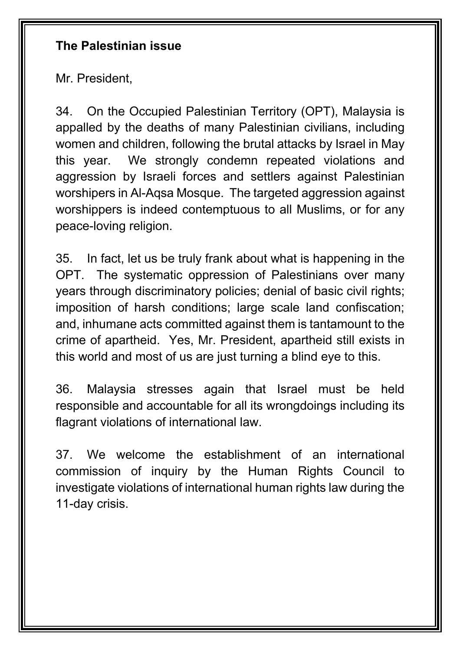#### **The Palestinian issue**

Mr. President,

34. On the Occupied Palestinian Territory (OPT), Malaysia is appalled by the deaths of many Palestinian civilians, including women and children, following the brutal attacks by Israel in May this year. We strongly condemn repeated violations and aggression by Israeli forces and settlers against Palestinian worshipers in Al-Aqsa Mosque. The targeted aggression against worshippers is indeed contemptuous to all Muslims, or for any peace-loving religion.

35. In fact, let us be truly frank about what is happening in the OPT. The systematic oppression of Palestinians over many years through discriminatory policies; denial of basic civil rights; imposition of harsh conditions; large scale land confiscation; and, inhumane acts committed against them is tantamount to the crime of apartheid. Yes, Mr. President, apartheid still exists in this world and most of us are just turning a blind eye to this.

36. Malaysia stresses again that Israel must be held responsible and accountable for all its wrongdoings including its flagrant violations of international law.

37. We welcome the establishment of an international commission of inquiry by the Human Rights Council to investigate violations of international human rights law during the 11-day crisis.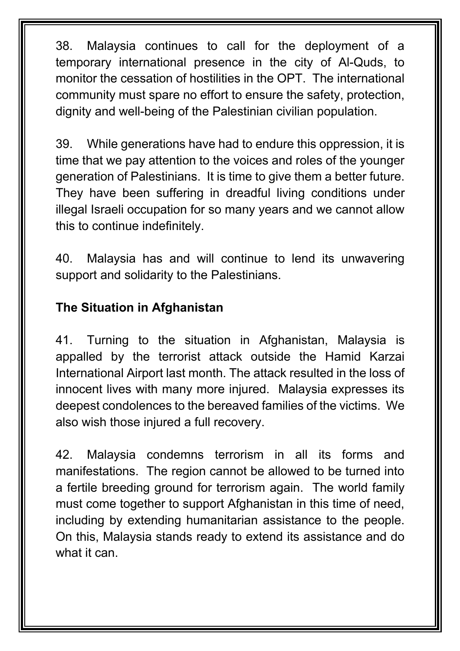38. Malaysia continues to call for the deployment of a temporary international presence in the city of Al-Quds, to monitor the cessation of hostilities in the OPT. The international community must spare no effort to ensure the safety, protection, dignity and well-being of the Palestinian civilian population.

39. While generations have had to endure this oppression, it is time that we pay attention to the voices and roles of the younger generation of Palestinians. It is time to give them a better future. They have been suffering in dreadful living conditions under illegal Israeli occupation for so many years and we cannot allow this to continue indefinitely.

40. Malaysia has and will continue to lend its unwavering support and solidarity to the Palestinians.

### **The Situation in Afghanistan**

41. Turning to the situation in Afghanistan, Malaysia is appalled by the terrorist attack outside the Hamid Karzai International Airport last month. The attack resulted in the loss of innocent lives with many more injured. Malaysia expresses its deepest condolences to the bereaved families of the victims. We also wish those injured a full recovery.

42. Malaysia condemns terrorism in all its forms and manifestations. The region cannot be allowed to be turned into a fertile breeding ground for terrorism again. The world family must come together to support Afghanistan in this time of need, including by extending humanitarian assistance to the people. On this, Malaysia stands ready to extend its assistance and do what it can.